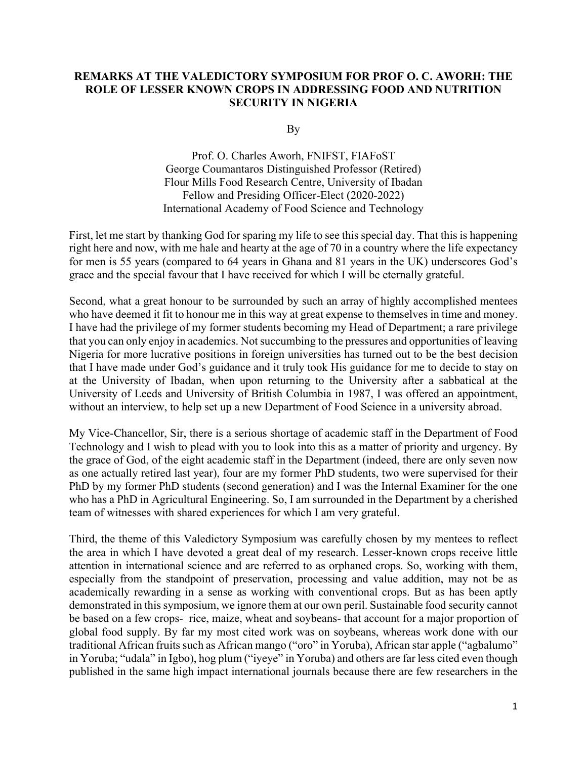## **REMARKS AT THE VALEDICTORY SYMPOSIUM FOR PROF O. C. AWORH: THE ROLE OF LESSER KNOWN CROPS IN ADDRESSING FOOD AND NUTRITION SECURITY IN NIGERIA**

By

Prof. O. Charles Aworh, FNIFST, FIAFoST George Coumantaros Distinguished Professor (Retired) Flour Mills Food Research Centre, University of Ibadan Fellow and Presiding Officer-Elect (2020-2022) International Academy of Food Science and Technology

First, let me start by thanking God for sparing my life to see this special day. That this is happening right here and now, with me hale and hearty at the age of 70 in a country where the life expectancy for men is 55 years (compared to 64 years in Ghana and 81 years in the UK) underscores God's grace and the special favour that I have received for which I will be eternally grateful.

Second, what a great honour to be surrounded by such an array of highly accomplished mentees who have deemed it fit to honour me in this way at great expense to themselves in time and money. I have had the privilege of my former students becoming my Head of Department; a rare privilege that you can only enjoy in academics. Not succumbing to the pressures and opportunities of leaving Nigeria for more lucrative positions in foreign universities has turned out to be the best decision that I have made under God's guidance and it truly took His guidance for me to decide to stay on at the University of Ibadan, when upon returning to the University after a sabbatical at the University of Leeds and University of British Columbia in 1987, I was offered an appointment, without an interview, to help set up a new Department of Food Science in a university abroad.

My Vice-Chancellor, Sir, there is a serious shortage of academic staff in the Department of Food Technology and I wish to plead with you to look into this as a matter of priority and urgency. By the grace of God, of the eight academic staff in the Department (indeed, there are only seven now as one actually retired last year), four are my former PhD students, two were supervised for their PhD by my former PhD students (second generation) and I was the Internal Examiner for the one who has a PhD in Agricultural Engineering. So, I am surrounded in the Department by a cherished team of witnesses with shared experiences for which I am very grateful.

Third, the theme of this Valedictory Symposium was carefully chosen by my mentees to reflect the area in which I have devoted a great deal of my research. Lesser-known crops receive little attention in international science and are referred to as orphaned crops. So, working with them, especially from the standpoint of preservation, processing and value addition, may not be as academically rewarding in a sense as working with conventional crops. But as has been aptly demonstrated in this symposium, we ignore them at our own peril. Sustainable food security cannot be based on a few crops- rice, maize, wheat and soybeans- that account for a major proportion of global food supply. By far my most cited work was on soybeans, whereas work done with our traditional African fruits such as African mango ("oro" in Yoruba), African star apple ("agbalumo" in Yoruba; "udala" in Igbo), hog plum ("iyeye" in Yoruba) and others are far less cited even though published in the same high impact international journals because there are few researchers in the